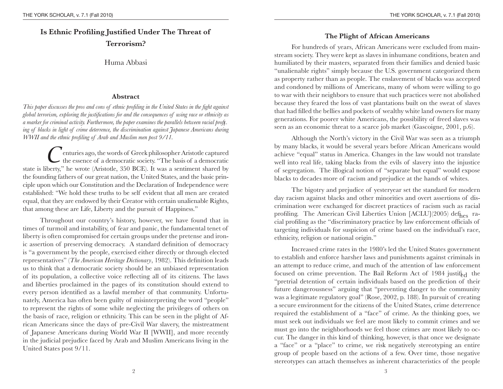# **Is Ethnic Profiling Justified Under The Threat of Terrorism?**

## Huma Abbasi

# **Abstract**

*This paper discusses the pros and cons of ethnic profiling in the United States in the fi ght against global terrorism, exploring the justifications for and the consequences of using race or ethnicity as a marker for criminal activity. Furthermore, the paper examines the parallels between racial profiling of blacks in light of crime deterrence, the discrimination against Japanese Americans during WWII and the ethnic profiling of Arab and Muslim men post 9/11.* 

*C*enturies ago, the words of Greek philosopher Aristotle captured the essence of a democratic society. "The basis of a democratic state is liberty," he wrote (Aristotle, 350 BCE). It was a sentiment shared by the founding fathers of our great nation, the United States, and the basic principle upon which our Constitution and the Declaration of Independence were established: "We hold these truths to be self evident that all men are created equal, that they are endowed by their Creator with certain unalienable Rights, that among these are Life, Liberty and the pursuit of Happiness."

Throughout our country's history, however, we have found that in times of turmoil and instability, of fear and panic, the fundamental tenet of liberty is often compromised for certain groups under the pretense and ironic assertion of preserving democracy. A standard de finition of democracy is "a government by the people, exercised either directly or through elected representatives" (*The American Heritage Dictionary*, 1982). This definition leads us to think that a democratic society should be an unbiased representation of its population, a collective voice re flecting all of its citizens. The laws and liberties proclaimed in the pages of its constitution should extend to every person identi fied as a lawful member of that community. Unfortunately, America has often been guilty of misinterpreting the word "people" to represent the rights of some while neglecting the privileges of others on the basis of race, religion or ethnicity. This can be seen in the plight of African Americans since the days of pre-Civil War slavery, the mistreatment of Japanese Americans during World War II [WWII], and more recently in the judicial prejudice faced by Arab and Muslim Americans living in the United States post 9/11.

# **The Plight of African Americans**

For hundreds of years, African Americans were excluded from mainstream society. They were kept as slaves in inhumane conditions, beaten and humiliated by their masters, separated from their families and denied basic "unalienable rights" simply because the U.S. government categorized them as property rather than as people. The enslavement of blacks was accepted and condoned by millions of Americans, many of whom were willing to go to war with their neighbors to ensure that such practices were not abolished because they feared the loss of vast plantations built on the sweat of slaves that had filled the bellies and pockets of wealthy white land owners for many generations. For poorer white Americans, the possibility of freed slaves was seen as an economic threat to a scarce job market (Gascoigne, 2001, p.6).

Although the North's victory in the Civil War was seen as a triumph by many blacks, it would be several years before African Americans would achieve "equal" status in America. Changes in the law would not translate well into real life, taking blacks from the evils of slavery into the injustice of segregation. The illogical notion of "separate but equal" would expose blacks to decades more of racism and prejudice at the hands of whites.

The bigotry and prejudice of yesteryear set the standard for modern day racism against blacks and other minorities and overt assertions of discrimination were exchanged for discreet practices of racism such as racial profiling. The American Civil Liberties Union [ACLU](2005) def<sub>hes</sub> racial profiling as the "discriminatory practice by law enforcement officials of targeting individuals for suspicion of crime based on the individual's race, ethnicity, religion or national origin."

Increased crime rates in the 1980's led the United States government to establish and enforce harsher laws and punishments against criminals in an attempt to reduce crime, and much of the attention of law enforcement focused on crime prevention. The Bail Reform Act of 1984 justif<sub>ed</sub> the "pretrial detention of certain individuals based on the prediction of their future dangerousness" arguing that "preventing danger to the community was a legitimate regulatory goal" (Rose, 2002, p. 188). In pursuit of creating a secure environment for the citizens of the United States, crime deterrence required the establishment of <sup>a</sup>"face" of crime. As the thinking goes, we must seek out individuals we feel are most likely to commit crimes and we must go into the neighborhoods we feel those crimes are most likely to occur. The danger in this kind of thinking, however, is that once we designate <sup>a</sup>"face" or a "place" to crime, we risk negatively stereotyping an entire group of people based on the actions of a few. Over time, those negative stereotypes can attach themselves as inherent characteristics of the people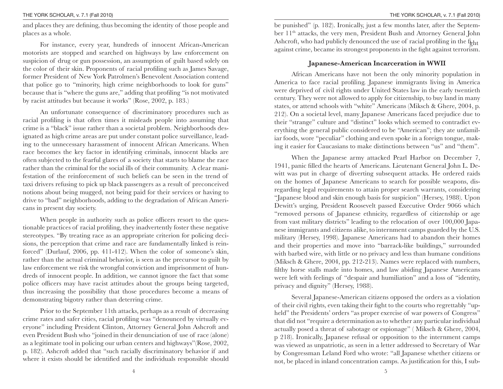and places they are de fining, thus becoming the identity of those people and places as a whole.

For instance, every year, hundreds of innocent African-American motorists are stopped and searched on highways by law enforcement on suspicion of drug or gun possession, an assumption of guilt based solely on the color of their skin. Proponents of racial profiling such as James Savage, former President of New York Patrolmen's Benevolent Association contend that police go to "minority, high crime neighborhoods to look for guns" because that is "where the guns are," adding that pro filing "is not motivated by racist attitudes but because it works" (Rose, 2002, p. 183.)

An unfortunate consequence of discriminatory procedures such as racial pro filing is that often times it misleads people into assuming that crime is a "black" issue rather than a societal problem. Neighborhoods designated as high crime areas are put under constant police surveillance, leading to the unnecessary harassment of innocent African Americans. When race becomes the key factor in identifying criminals, innocent blacks are often subjected to the fearful glares of a society that starts to blame the race rather than the criminal for the social ills of their community. A clear manifestation of the reinforcement of such beliefs can be seen in the trend of taxi drivers refusing to pick up black passengers as a result of preconceived notions about being mugged, not being paid for their services or having to drive to "bad" neighborhoods, adding to the degradation of African Americans in present day society.

When people in authority such as police officers resort to the questionable practices of racial pro filing, they inadvertently foster these negative stereotypes. "By treating race as an appropriate criterion for policing decisions, the perception that crime and race are fundamentally linked is reinforced" (Durlauf, 2006, pp. 411-412). When the color of someone's skin, rather than the actual criminal behavior, is seen as the precursor to guilt by law enforcement we risk the wrongful conviction and imprisonment of hundreds of innocent people. In addition, we cannot ignore the fact that some police officers may have racist attitudes about the groups being targeted, thus increasing the possibility that those procedures become a means of demonstrating bigotry rather than deterring crime.

Prior to the September 11th attacks, perhaps as a result of decreasing crime rates and safer cities, racial profiling was "denounced by virtually everyone" including President Clinton, Attorney General John Ashcroft and even President Bush who "joined in their denunciation of use of race (alone) as a legitimate tool in policing our urban centers and highways"(Rose, 2002, p. 182). Ashcroft added that "such racially discriminatory behavior if and where it exists should be identi fied and the individuals responsible should be punished" (p. 182). Ironically, just a few months later, after the September 11th attacks, the very men, President Bush and Attorney General John Ashcroft, who had publicly denounced the use of racial profiling in the  ${\rm f\!_{\rm sht}$ against crime, became its strongest proponents in the fight against terrorism.

#### **Japanese-American Incarceration in WWII**

African Americans have not been the only minority population in America to face racial pro filing. Japanese immigrants living in America were deprived of civil rights under United States law in the early twentieth century. They were not allowed to apply for citizenship, to buy land in many states, or attend schools with "white" Americans (Miksch & Ghere, 2004, p. 212). On a societal level, many Japanese Americans faced prejudice due to their "strange" culture and "distinct" looks which seemed to contradict everything the general public considered to be "American"; they ate unfamiliar foods, wore "peculiar" clothing and even spoke in a foreign tongue, making it easier for Caucasians to make distinctions between "us" and "them".

When the Japanese army attacked Pearl Harbor on December 7, 1941, panic filled the hearts of Americans. Lieutenant General John L. Dewitt was put in charge of diverting subsequent attacks. He ordered raids on the homes of Japanese Americans to search for possible weapons, disregarding legal requirements to attain proper search warrants, considering "Japanese blood and skin enough basis for suspicion" (Hersey, 1988). Upon Dewitt's urging, President Roosevelt passed Executive Order 9066 which "removed persons of Japanese ethnicity, regardless of citizenship or age from vast military districts" leading to the relocation of over 100,000 Japanese immigrants and citizens alike, to internment camps guarded by the U.S. military (Hersey, 1998). Japanese Americans had to abandon their homes and their properties and move into "barrack-like buildings," surrounded with barbed wire, with little or no privacy and less than humane conditions (Miksch & Ghere, 2004, pp. 212-213). Names were replaced with numbers, filthy horse stalls made into homes, and law abiding Japanese Americans were left with feelings of "despair and humiliation" and a loss of "identity, privacy and dignity" (Hersey, 1988).

Several Japanese-American citizens opposed the orders as a violation of their civil rights, even taking their fight to the courts who regrettably "upheld" the Presidents' orders "as proper exercise of war powers of Congress" that did not "require a determination as to whether any particular individual actually posed a threat of sabotage or espionage" ( Miksch & Ghere, 2004, p 218). Ironically, Japanese refusal or opposition to the internment camps was viewed as unpatriotic, as seen in a letter addressed to Secretary of War by Congressman Leland Ford who wrote: "all Japanese whether citizens or not, be placed in inland concentration camps. As justi fication for this, I sub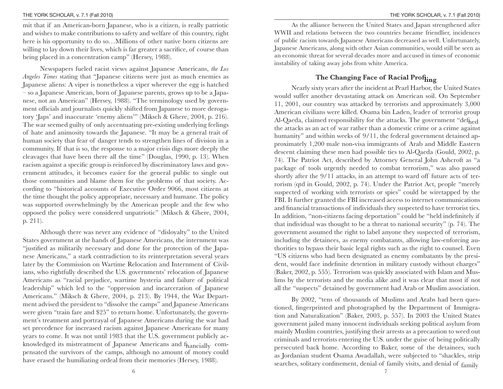mit that if an American-born Japanese, who is a citizen, is really patriotic and wishes to make contributions to safety and welfare of this country, right here is his opportunity to do so…Millions of other native born citizens are willing to lay down their lives, which is far greater a sacri fice, of course than being placed in a concentration camp" (Hersey, 1988).

Newspapers fueled racist views against Japanese Americans, *the Los Angeles Times* stating that "Japanese citizens were just as much enemies as Japanese aliens: A viper is nonetheless a viper wherever the egg is hatched – so a Japanese American, born of Japanese parents, grows up to be a Japanese, not an American" (Hersey, 1988). "The terminology used by government officials and journalists quickly shifted from Japanese to more derogatory 'Japs' and inaccurate 'enemy aliens'" (Miksch & Ghere, 2004, p. 216). The war seemed guilty of only accentuating pre-existing underlying feelings of hate and animosity towards the Japanese. "It may be a general trait of human society that fear of danger tends to strengthen lines of division in a community. If that is so, the response to a major crisis digs more deeply the cleavages that have been there all the time" (Douglas, 1990, p. 13). When racism against a speci fic group is reinforced by discriminatory laws and government attitudes, it becomes easier for the general public to single out those communities and blame them for the problems of that society. According to "historical accounts of Executive Order 9066, most citizens at the time thought the policy appropriate, necessary and humane. The policy was supported overwhelmingly by the American people and the few who opposed the policy were considered unpatriotic" (Miksch & Ghere, 2004, p. 211).

Although there was never any evidence of "disloyalty" to the United States government at the hands of Japanese Americans, the internment was "justi fied as militarily necessary and done for the protection of the Japanese Americans," a stark contradiction to its reinterpretation several years later by the Commission on Wartime Relocation and Internment of Civilians, who rightfully described the U.S. governments' relocation of Japanese Americans as "racial prejudice, wartime hysteria and failure of political leadership" which led to the "oppression and incarceration of Japanese Americans." (Miksch & Ghere, 2004, p. 213). By 1944, the War Department advised the president to "dissolve the camps" and Japanese Americans were given "train fare and \$25" to return home. Unfortunately, the government's treatment and portrayal of Japanese Americans during the war had set precedence for increased racism against Japanese Americans for many years to come. It was not until 1983 that the U.S. government publicly acknowledged its mistreatment of Japanese Americans and f<sub>hancially</sub> compensated the survivors of the camps, although no amount of money could have erased the humiliating ordeal from their memories (Hersey, 1988).

6

As the alliance between the United States and Japan strengthened after WWII and relations between the two countries became friendlier, incidences of public racism towards Japanese Americans decreased as well. Unfortunately, Japanese Americans, along with other Asian communities, would still be seen as an economic threat for several decades more and accused in times of economic instability of taking away jobs from white America.

# **The Changing Face of Racial Pro filing**

Nearly sixty years after the incident at Pearl Harbor, the United States would suffer another devastating attack on American soil. On September 11, 2001, our country was attacked by terrorists and approximately 3,000 American civilians were killed. Osama bin Laden, leader of terrorist group Al-Qaeda, claimed responsibility for the attacks. The government "def<sub>hed</sub> the attacks as an act of war rather than a domestic crime or a crime against humanity" and within weeks of 9/11, the federal government detained approximately 1,200 male non-visa immigrants of Arab and Middle Eastern descent claiming these men had possible ties to Al-Qaeda (Gould, 2002, p. 74). The Patriot Act, described by Attorney General John Ashcroft as "a package of tools urgently needed to combat terrorism," was also passed shortly after the 9/11 attacks, in an attempt to ward off future acts of terrorism (qtd in Gould, 2002, p. 74). Under the Patriot Act, people "merely suspected of working with terrorists or spies" could be wiretapped by the FBI. It further granted the FBI increased access to internet communications and financial transactions of individuals they suspected to have terrorist ties. In addition, "non-citizens facing deportation" could be "held indefinitely if that individual was thought to be a threat to national security" (p. 74). The government assumed the right to label anyone they suspected of terrorism, including the detainees, as enemy combatants, allowing law-enforcing authorities to bypass their basic legal rights such as the right to counsel. Even "US citizens who had been designated as enemy combatants by the president, would face inde finite detention in military custody without charges" (Baker, 2002, p. 555). Terrorism was quickly associated with Islam and Muslims by the terrorists and the media alike and it was clear that most if not all the "suspects" detained by government had Arab or Muslim association.

By 2002, "tens of thousands of Muslims and Arabs had been questioned, fingerprinted and photographed by the Department of Immigration and Naturalization" (Baker, 2003, p. 557). In 2003 the United States government jailed many innocent individuals seeking political asylum from mainly Muslim countries, justifying their arrests as a precaution to weed out criminals and terrorists entering the U.S. under the guise of being politically persecuted back home. According to Baker, some of the detainees, such as Jordanian student Osama Awadallah, were subjected to "shackles, strip searches, solitary con finement, denial of family visits, and denial of family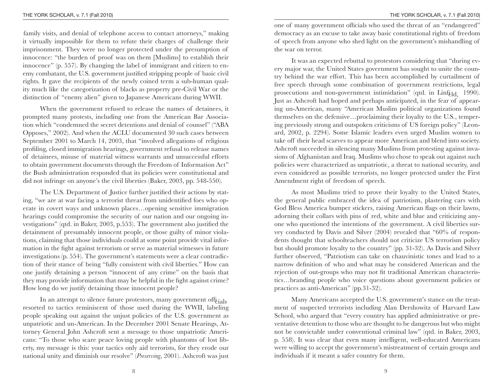family visits, and denial of telephone access to contact attorneys," making it virtually impossible for them to refute their charges of challenge their imprisonment. They were no longer protected under the presumption of innocence: "the burden of proof was on them [Muslims] to establish their innocence" (p. 557). By changing the label of immigrant and citizen to enemy combatant, the U.S. government justified stripping people of basic civil rights. It gave the recipients of the newly coined term a sub-human quality much like the categorization of blacks as property pre-Civil War or the distinction of "enemy alien" given to Japanese Americans during WWII.

When the government refused to release the names of detainees, it prompted many protests, including one from the American Bar Association which "condemned the secret detentions and denial of counsel" ("ABA Opposes," 2002). And when the ACLU documented 30 such cases between September 2001 to March 14, 2003, that "involved allegations of religious profiling, closed immigration hearings, government refusal to release names of detainees, misuse of material witness warrants and unsuccessful efforts to obtain government documents through the Freedom of Information Act" the Bush administration responded that its policies were constitutional and did not infringe on anyone's the civil liberties (Baker, 2003, pp. 548-550).

The U.S. Department of Justice further justified their actions by stating, "we are at war facing a terrorist threat from unidentified foes who operate in covert ways and unknown places…opening sensitive immigration hearings could compromise the security of our nation and our ongoing investigations" (qtd. in Baker, 2003, p.553). The government also justified the detainment of presumably innocent people, or those guilty of minor violations, claiming that those individuals could at some point provide vital information in the fight against terrorism or serve as material witnesses in future investigations (p. 554). The government's statements were a clear contradiction of their stance of being "fully consistent with civil liberties." How can one justify detaining a person "innocent of any crime" on the basis that they may provide information that may be helpful in the fight against crime? How long do we justify detaining those innocent people?

In an attempt to silence future protestors, many government off $f_{\text{risk}}$  resorted to tactics reminiscent of those used during the WWII, labeling people speaking out against the unjust policies of the U.S. government as unpatriotic and un-American. In the December 2001 Senate Hearings, Attorney General John Ashcroft sent a message to those unpatriotic Americans: "To those who scare peace loving people with phantoms of lost liberty, my message is this: your tactics only aid terrorists, for they erode our national unity and diminish our resolve" (*Preserving*, 2001). Ashcroft was just

one of many government officials who used the threat of an "endangered" democracy as an excuse to take away basic constitutional rights of freedom of speech from anyone who shed light on the government's mishandling of the war on terror.

It was an expected rebuttal to protestors considering that "during every major war, the United States government has sought to unite the country behind the war effort. This has been accomplished by curtailment of free speech through some combination of government restrictions, legal prosecutions and non-government intimidation" (qtd. in Linf<sub>eld</sub>, 1990). Just as Ashcroft had hoped and perhaps anticipated, in the fear of appearing un-American, many "American Muslim political organizations found themselves on the defensive…proclaiming their loyalty to the U.S., tempering previously strong and outspoken criticisms of US foreign policy" (Leonard, 2002, p. 2294). Some Islamic leaders even urged Muslim women to take off their head scarves to appear more American and blend into society. Ashcroft succeeded in silencing many Muslims from protesting against invasions of Afghanistan and Iraq. Muslims who chose to speak out against such policies were characterized as unpatriotic, a threat to national security, and even considered as possible terrorists, no longer protected under the First Amendment right of freedom of speech.

As most Muslims tried to prove their loyalty to the United States, the general public embraced the idea of patriotism, plastering cars with God Bless America bumper stickers, raising American flags on their lawns, adorning their collars with pins of red, white and blue and criticizing anyone who questioned the intentions of the government. A civil liberties survey conducted by Davis and Silver (2004) revealed that "60% of respondents thought that schoolteachers should not criticize US terrorism policy but should promote loyalty to the country" (pp. 31-32). As Davis and Silver further observed, "Patriotism can take on chauvinistic tones and lead to a narrow definition of who and what may be considered American and the rejection of out-groups who may not fit traditional American characteristics…branding people who voice questions about government policies or practices as anti-American" (pp.31-32).

Many Americans accepted the U.S. government's stance on the treatment of suspected terrorists including Alan Dershowitz of Harvard Law School, who argued that "every country has applied administrative or preventative detention to those who are thought to be dangerous but who might not be convictable under conventional criminal law" (qtd. in Baker, 2003, p. 558). It was clear that even many intelligent, well-educated Americans were willing to accept the government's mistreatment of certain groups and individuals if it meant a safer country for them.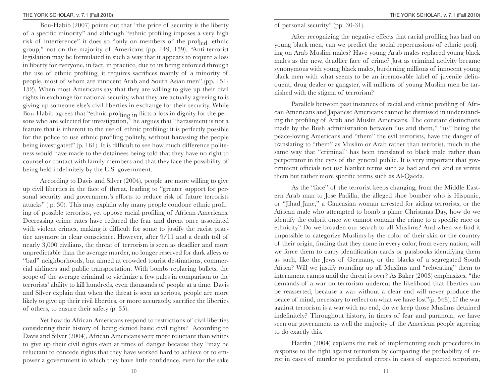#### THE YORK SCHOLAR, v. 7.1 (Fall 2010)

Bou-Habib (2007) points out that "the price of security is the liberty of a speci fic minority" and although "ethnic pro filing imposes a very high risk of interference" it does so "only on members of the profi<sub>ed</sub> ethnic group," not on the majority of Americans (pp. 149, 159). "Anti-terrorist legislation may be formulated in such a way that it appears to require a loss in liberty for everyone, in fact, in practice, due to its being enforced through the use of ethnic pro filing, it requires sacri fices mainly of a minority of people, most of whom are innocent Arab and South Asian men" (pp. 151- 152). When most Americans say that they are willing to give up their civil rights in exchange for national security, what they are actually agreeing to is giving up someone else's civil liberties in exchange for their security. While Bou-Habib agrees that "ethnic prof $_{\rm ling}$  <sub>in</sub> flicts a loss in dignity for the persons who are selected for investigation," he argues that "harassment is not a feature that is inherent to the use of ethnic pro filing: it is perfectly possible for the police to use ethnic pro filing politely, without harassing the people being investigated" (p. 161). It is difficult to see how much difference politeness would have made to the detainees being told that they have no right to counsel or contact with family members and that they face the possibility of being held indefinitely by the U.S. government.

According to Davis and Silver (2004), people are more willing to give up civil liberties in the face of threat, leading to "greater support for personal security and government's efforts to reduce risk of future terrorists attacks" ( p. 30). This may explain why many people condone ethnic prof<u>i</u> ing of possible terrorists, yet oppose racial pro filing of African Americans. Decreasing crime rates have reduced the fear and threat once associated with violent crimes, making it difficult for some to justify the racist practice anymore in clear conscience. However, after 9/11 and a death toll of nearly 3,000 civilians, the threat of terrorism is seen as deadlier and more unpredictable than the average murder, no longer reserved for dark alleys or "bad" neighborhoods, but aimed at crowded tourist destinations, commercial airliners and public transportation. With bombs replacing bullets, the scope of the average criminal to victimize a few pales in comparison to the terrorists' ability to kill hundreds, even thousands of people at a time. Davis and Silver explain that when the threat is seen as serious, people are more likely to give up their civil liberties, or more accurately, sacri fice the liberties of others, to ensure their safety (p. 35).

Yet how do African Americans respond to restrictions of civil liberties considering their history of being denied basic civil rights? According to Davis and Silver (2004), African Americans were more reluctant than whites to give up their civil rights even at times of danger because they "may be reluctant to concede rights that they have worked hard to achieve or to empower a government in which they have little con fidence, even for the sake of personal security" (pp. 30-31).

After recognizing the negative effects that racial pro filing has had on young black men, can we predict the social repercussions of ethnic profi ing on Arab Muslim males? Have young Arab males replaced young black males as the new, deadlier face of crime? Just as criminal activity became synonymous with young black males, burdening millions of innocent young black men with what seems to be an irremovable label of juvenile delinquent, drug dealer or gangster, will millions of young Muslim men be tarnished with the stigma of terrorism?

Parallels between past instances of racial and ethnic pro filing of African Americans and Japanese Americans cannot be dismissed in understanding the pro filing of Arab and Muslin Americans. The constant distinctions made by the Bush administration between "us and them," "us" being the peace-loving Americans and "them" the evil terrorists, have the danger of translating to "them" as Muslim or Arab rather than terrorist, much in the same way that "criminal" has been translated to black male rather than perpetrator in the eyes of the general public. It is very important that government officials not use blanket terms such as bad and evil and us versus them but rather more speci fi c terms such as Al-Qaeda.

As the "face" of the terrorist keeps changing, from the Middle Eastern Arab man to Jose Padilla, the alleged shoe bomber who is Hispanic, or "Jihad Jane," a Caucasian woman arrested for aiding terrorists, or the African male who attempted to bomb a plane Christmas Day, how do we identify the culprit once we cannot contain the crime to a speci fic race or ethnicity? Do we broaden our search to all Muslims? And when we find it impossible to categorize Muslims by the color of their skin or the country of their origin, finding that they come in every color, from every nation, will we force them to carry identi fication cards or passbooks identifying them as such, like the Jews of Germany, or the blacks of a segregated South Africa? Will we justify rounding up all Muslims and "relocating" them to internment camps until the threat is over? As Baker (2003) emphasizes, "the demands of a war on terrorism undercut the likelihood that liberties can be reasserted, because a war without a clear end will never produce the peace of mind, necessary to re flect on what we have lost"(p. 548). If the war against terrorism is a war with no end, do we keep those Muslims detained inde finitely? Throughout history, in times of fear and paranoia, we have seen our government as well the majority of the American people agreeing to do exactly this.

Hardin (2004) explains the risk of implementing such procedures in response to the fight against terrorism by comparing the probability of error in cases of murder to predicted errors in cases of suspected terrorism,